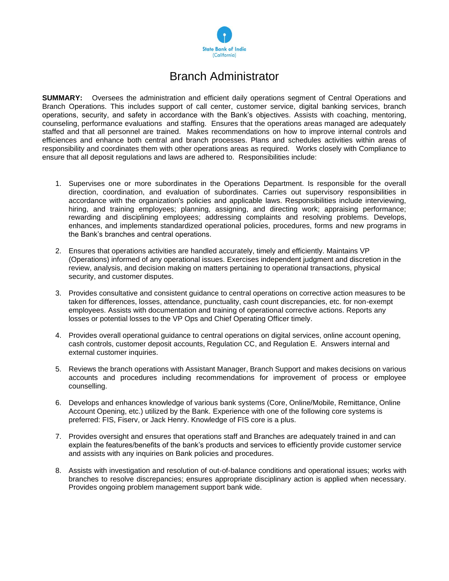

## Branch Administrator

**SUMMARY:** Oversees the administration and efficient daily operations segment of Central Operations and Branch Operations. This includes support of call center, customer service, digital banking services, branch operations, security, and safety in accordance with the Bank's objectives. Assists with coaching, mentoring, counseling, performance evaluations and staffing. Ensures that the operations areas managed are adequately staffed and that all personnel are trained. Makes recommendations on how to improve internal controls and efficiences and enhance both central and branch processes. Plans and schedules activities within areas of responsibility and coordinates them with other operations areas as required. Works closely with Compliance to ensure that all deposit regulations and laws are adhered to. Responsibilities include:

- 1. Supervises one or more subordinates in the Operations Department. Is responsible for the overall direction, coordination, and evaluation of subordinates. Carries out supervisory responsibilities in accordance with the organization's policies and applicable laws. Responsibilities include interviewing, hiring, and training employees; planning, assigning, and directing work; appraising performance; rewarding and disciplining employees; addressing complaints and resolving problems. Develops, enhances, and implements standardized operational policies, procedures, forms and new programs in the Bank's branches and central operations.
- 2. Ensures that operations activities are handled accurately, timely and efficiently. Maintains VP (Operations) informed of any operational issues. Exercises independent judgment and discretion in the review, analysis, and decision making on matters pertaining to operational transactions, physical security, and customer disputes.
- 3. Provides consultative and consistent guidance to central operations on corrective action measures to be taken for differences, losses, attendance, punctuality, cash count discrepancies, etc. for non-exempt employees. Assists with documentation and training of operational corrective actions. Reports any losses or potential losses to the VP Ops and Chief Operating Officer timely.
- 4. Provides overall operational guidance to central operations on digital services, online account opening, cash controls, customer deposit accounts, Regulation CC, and Regulation E. Answers internal and external customer inquiries.
- 5. Reviews the branch operations with Assistant Manager, Branch Support and makes decisions on various accounts and procedures including recommendations for improvement of process or employee counselling.
- 6. Develops and enhances knowledge of various bank systems (Core, Online/Mobile, Remittance, Online Account Opening, etc.) utilized by the Bank. Experience with one of the following core systems is preferred: FIS, Fiserv, or Jack Henry. Knowledge of FIS core is a plus.
- 7. Provides oversight and ensures that operations staff and Branches are adequately trained in and can explain the features/benefits of the bank's products and services to efficiently provide customer service and assists with any inquiries on Bank policies and procedures.
- 8. Assists with investigation and resolution of out-of-balance conditions and operational issues; works with branches to resolve discrepancies; ensures appropriate disciplinary action is applied when necessary. Provides ongoing problem management support bank wide.